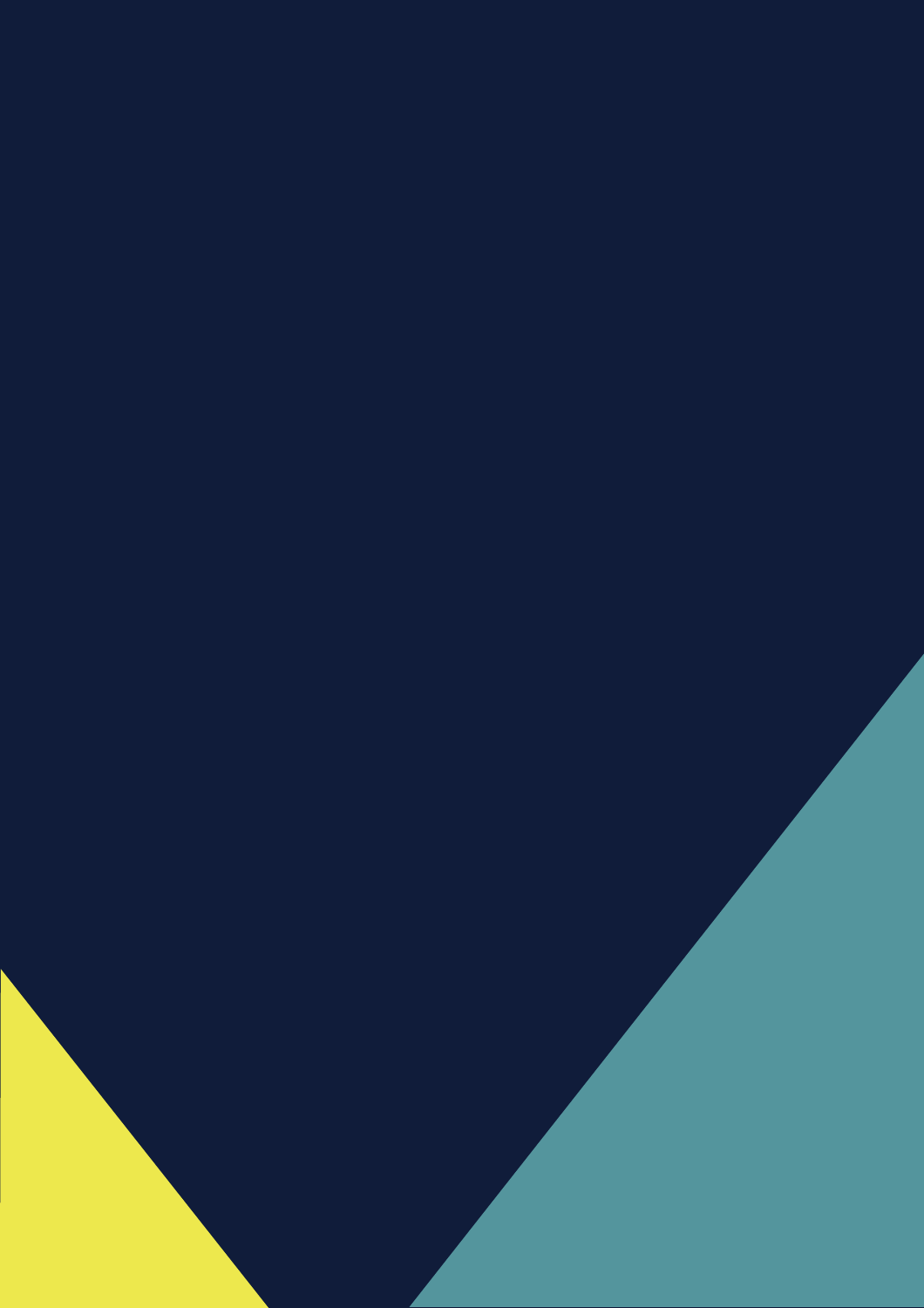

# **National Integrity Framework**

# **Anti-Doping Education Plan v1.0 19th January 2022**

## **Authorisation:**

Adopted by the Board in accordance with the Constitution, s29.1, 19<sup>th</sup> January 2022, effective from 18<sup>th</sup> February 2022

Holene +

**Secretary**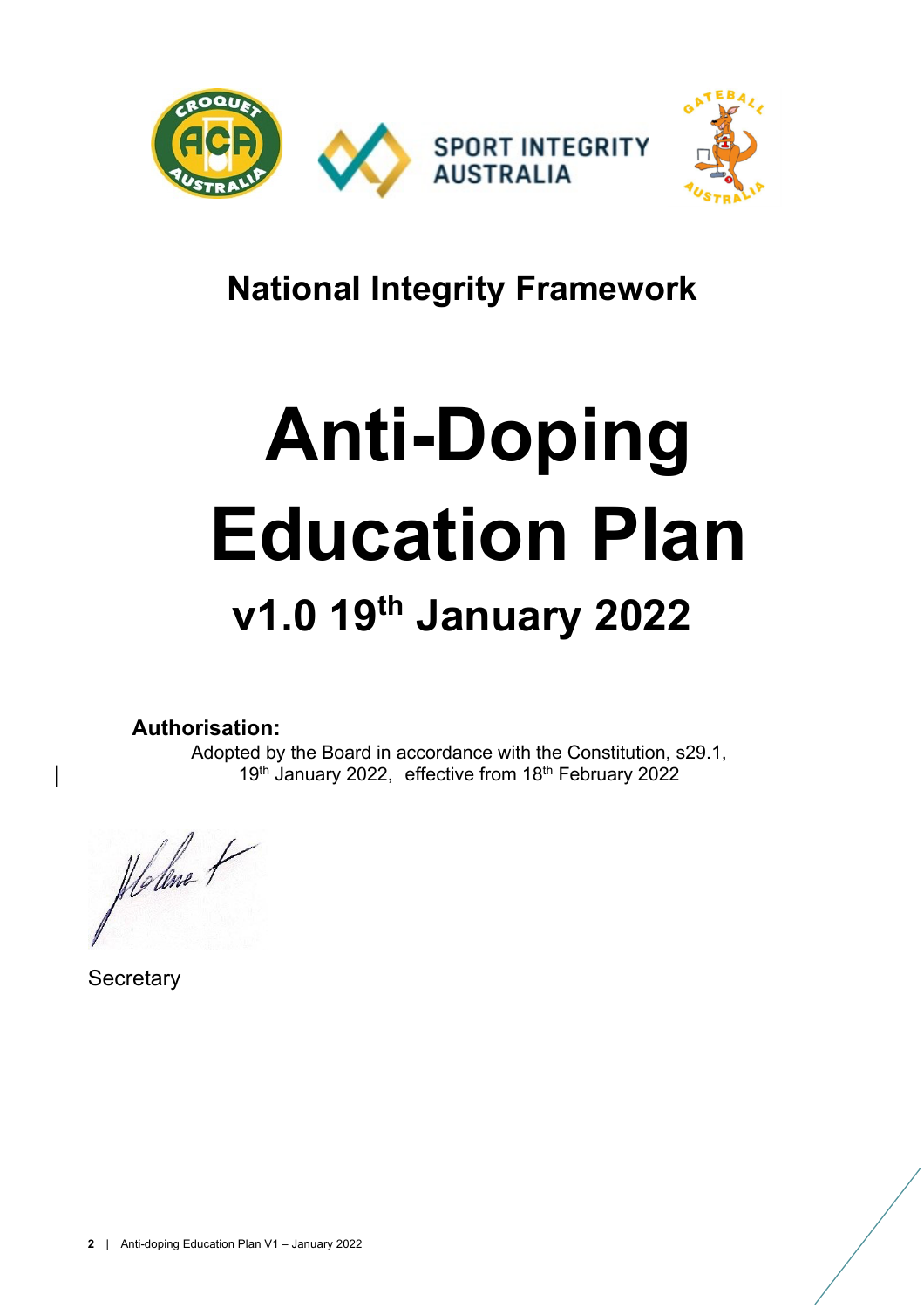## **Contents**

| <b>Croquet Australia Anti-doping Education Plan</b>         |   |
|-------------------------------------------------------------|---|
| <b>Introduction</b>                                         | 4 |
| <b>Plan Development</b>                                     | 4 |
| <b>Commitment</b>                                           | 4 |
| <b>Education Plan Compliance Model</b>                      | 5 |
| <b>Conclusion</b>                                           | 5 |
| <b>Attachments</b>                                          | 6 |
| Attachment A – Required and Recommended Education           | 6 |
| <b>Attachment B - Croquet Australia Delivered Education</b> |   |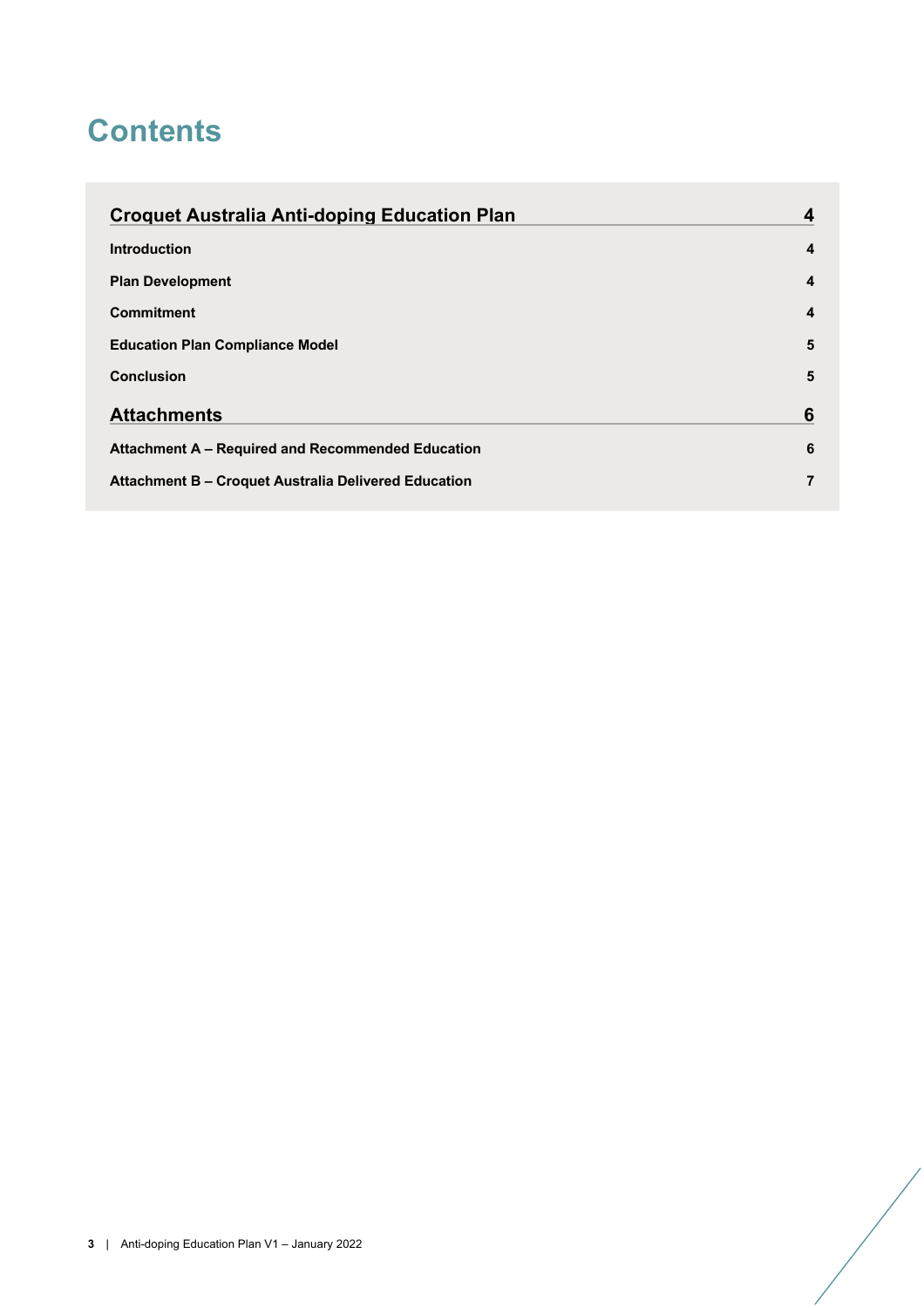## **Croquet Australia Anti-doping Education Plan**

#### **Introduction**

Education is key to protecting the health and wellbeing of athletes and upholding the integrity of Australian sport. This Education Plan outlines the required and recommended education interventions for all members of Croquet Australia as per your Anti-Doping policy and the World Anti-Doping Code International Standard for Education (ISE).

#### **Plan Development**

Under the ISE, Sport Integrity Australia is required to ensure specific cohorts receive anti-doping education - either via online or face to face education. A key intent of the ISE is that athletes should receive education prior to being tested.

To satisfy these requirements, the following cohorts are required to receive anti-doping education:

- Any athletes included in Registered, National or Domestic Testing Pools
- Any athletes and support personnel\* competing or involved in National and International events, championships or competitions
- Any athletes and support personnel\* competing or involved in leagues subject to User Pay testing
- Any athletes and support personnel\* returning from an anti-doping rule violation sanction

Other groups outside these categories are recommended to receive anti-doping education. The type of education for each cohort is outlined in following attachments:

**Attachment A – Required and Recommended Education -** Outlines the anti-doping education requirements and recommendations for Croquet Australia members at each level including those delivered by Croquet Australia.

**Attachment B – Croquet Australia Delivered Education -** allows for additional Croquet Australia delivered education not listed in Attachment A to be included. This is not compulsory to complete.

#### **Commitment**

Sport Integrity Australia will provide:

- Government-funded or user pay face to face/virtual education sessions
- Access to a range of free online anti-doping education materials, targeted to each level of sport
- A suite of resources to promote education, including social media tiles, posters, videos and digital resources
- Regular communication to Croquet Australia to support Croquet Australia in implementing this plan.
- Where practical, assistance with eLearning completion reports for Croquet Australia.

Croquet Australia will be responsible for:

- Mandating the completion of education requirements as outlined in **Attachment A.**
- Promoting recommended education interventions as outlined in **Attachment A**, by providing resources to State Sporting Organisations and Clubs, and promoting anti-doping education in communication materials.
- Coordinating face to face education sessions with Sport Integrity Australia, including providing adequate facilities and support.

\*Support Personnel includes any coach, trainer, manager, agent, team staff, official, medical, paramedical personnel, parent or any Other Person working with, treating or assisting an Athlete participating in or preparing for sports Competition. See articles 1.3.1.1 and 1.3.1.2 of anti-doping policy for further information.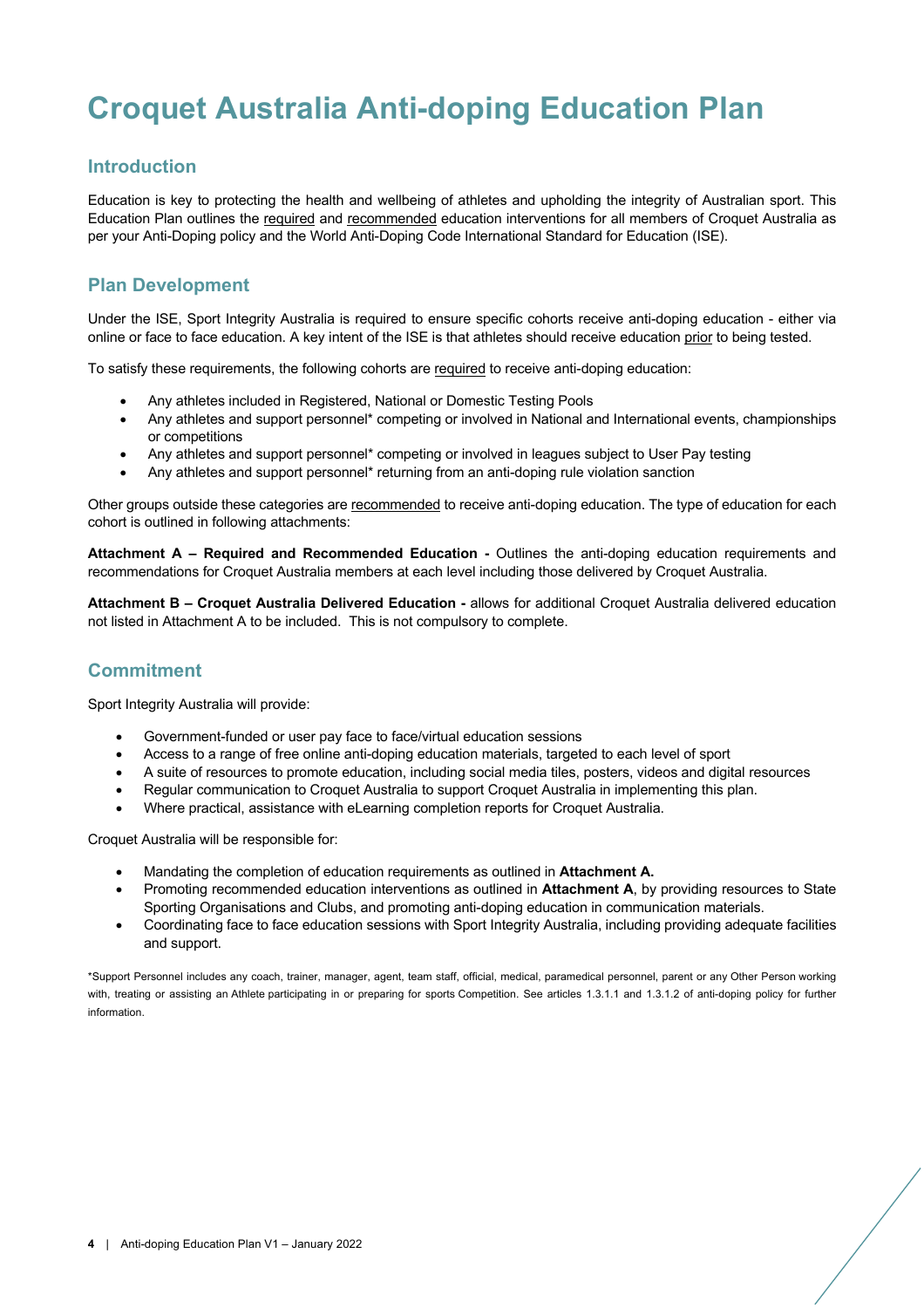#### **Education Plan Compliance Model**

The following criteria will be used when assessing education implementation for the purpose of ensuring compliance with the Australian National Anti-Doping Policy (Articles 12.1, 12.2, 12.4 and 17) and the Sport Recognition Agreement (clause j ii)

- Endorsing the education plan via email confirmation
- Education requirements are communicated to specified athlete and support personnel and monitored through online completion records of eLearning courses and attendance at face to face or virtual education sessions (where relevant)
- Anti-doping resources are shared with State Sporting Organisations,
- Croquet Australia communicates effectively and efficiently with Sport Integrity Australia to implement this plan
- Croquet Australia promotes education across all athlete levels as evidenced via emails, newsletters, social media posts, and event packs etc.
- Croquet Australia implements an anti-doping tab on their website with policy and links to education and other resources.

For the purpose of the Sport Integrity Australia Compliance Model, Croquet Australia may be asked to provide evidence of how they have implemented this plan at various levels. (e.g.: by providing emails to state organisations, social media posts, newsletters) The Plan will be reviewed annually to assess implementation and compliance, allow for changes in response to any evolving threats, and to incorporate new education resources developed by Sport Integrity Australia.

#### **Conclusion**

This Education Plan is a partnership between Sport Integrity Australia, who will support this plan through the provision of education resources and interventions, and Croquet Australia, who is responsible for implementing this plan within their sport. Through this plan, together we aim to reduce the risk of anti-doping rule violations, either deliberate or inadvertent, protect the health and wellbeing of Croquet Australia athletes, and uphold the integrity of Croquet Australia.

Acceptance of this education plan can be by way of email confirmation.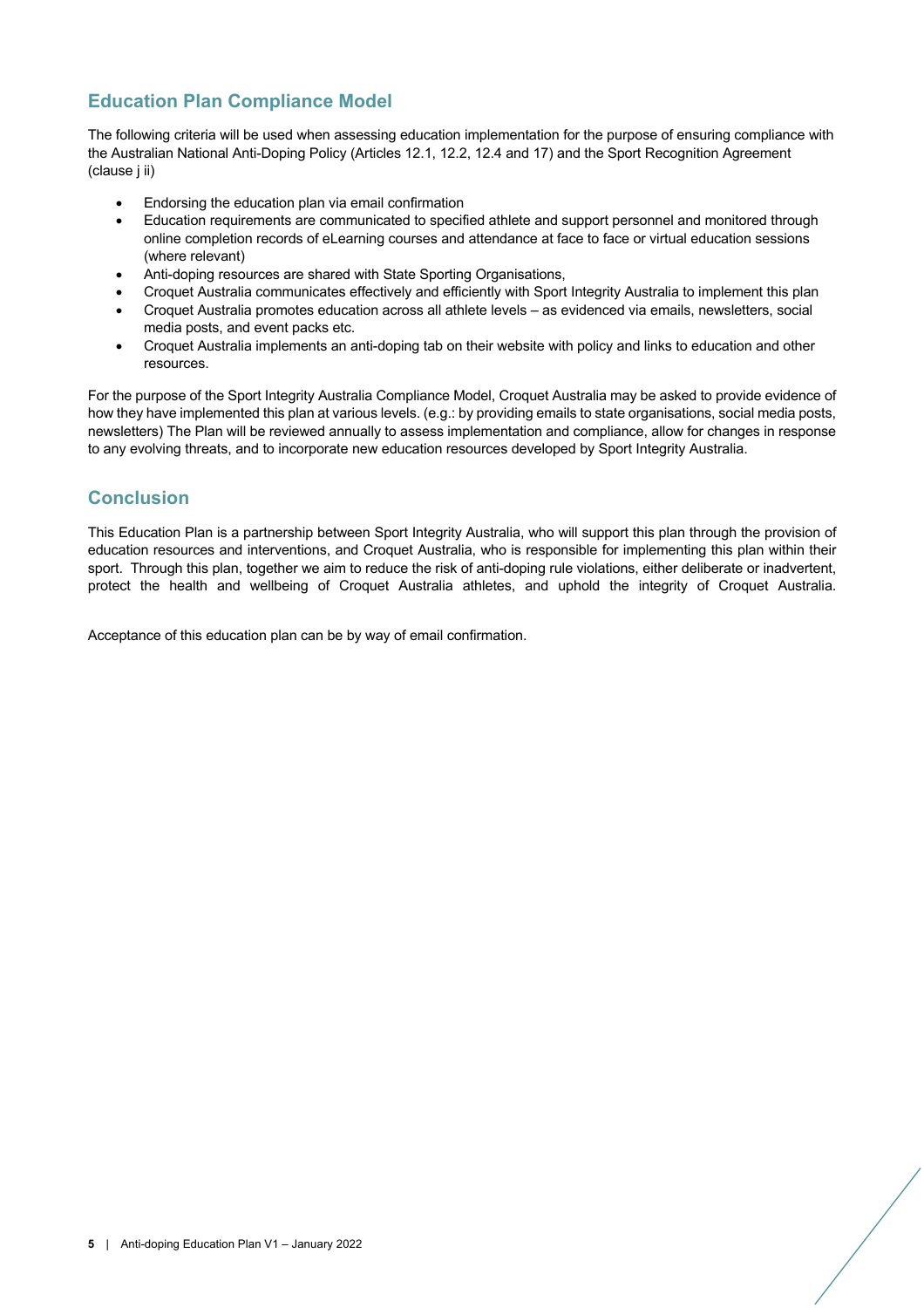## **Attachments**

#### **Attachment A – Required and Recommended Education**

| <b>Personnel</b><br><b>Category</b>                               | <b>Course</b>                                          | <b>Testing Pool</b><br><b>Athletes</b>              | <b>International</b><br>Representing<br>Australia | <b>National</b><br><b>National</b><br><b>Competitions</b> | <b>State</b><br><b>State</b><br>Competitions | <b>Other</b> |
|-------------------------------------------------------------------|--------------------------------------------------------|-----------------------------------------------------|---------------------------------------------------|-----------------------------------------------------------|----------------------------------------------|--------------|
| ATHLETES,<br><b>COACHES &amp;</b><br><b>SUPPORT</b><br>PERSONNEL* | <b>Anti-Doping</b><br><b>Fundamentals</b>              | <b>REQUIRED</b>                                     | <b>REQUIRED</b>                                   | Recommended                                               | Recommended                                  | Recommended  |
|                                                                   | <b>Annual Update</b>                                   | <b>REQUIRED</b>                                     | <b>REQUIRED</b>                                   | Recommended                                               | Recommended                                  | Recommended  |
|                                                                   | <b>Whereabouts</b>                                     | <b>REQUIRED</b><br>(RTP athletes &<br>coaches only) | N/A                                               | N/A                                                       | N/A                                          | N/A          |
| <b>MEDICAL</b><br><b>PRACTITIONERS</b>                            | <b>Medical</b><br><b>Practitioner</b><br><b>Course</b> | <b>REQUIRED</b>                                     | <b>REQUIRED</b>                                   | Recommended                                               | Recommended                                  | Recommended  |
| <b>COACHES</b>                                                    | <b>Coaches</b><br>Course                               | <b>REQUIRED</b>                                     | <b>REQUIRED</b>                                   | Recommended                                               | Recommended                                  | Recommended  |
| <b>PARENTS</b>                                                    | <b>Parents' Guide</b><br>to clean sport                | Recommended                                         | Recommended                                       | Recommended                                               | Recommended                                  | Recommended  |

\*Support Personnel includes any coach, trainer, manager, agent, team staff, official, medical, paramedical personnel, parent or any Other Person working with, treating or assisting an Athlete participating in or preparing for sports Competition. See articles 1.3.1.1 and 1.3.1.2 of anti-doping policy for further information.

*NOTE: Any athlete or support personnel returning from an Anti-Doping Rule Violation sanction must meet the same education obligations as Testing Pool athletes.*